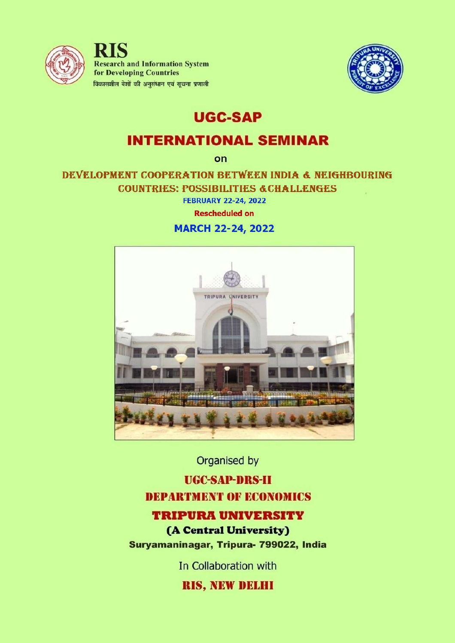

**RIS Research and Information System** for Developing Countries विकासशील देशों की अनसंधान एवं सूचना प्रणाली



# **UGC-SAP**

# **INTERNATIONAL SEMINAR**

on

DEVELOPMENT COOPERATION BETWEEN INDIA & NEIGHBOURING **COUNTRIES: POSSIBILITIES & CHALLENGES** 

**FEBRUARY 22-24, 2022** 

**Rescheduled on** 

**MARCH 22-24, 2022** 



Organised by

# **UGC-SAP-DRS-II DEPARTMENT OF ECONOMICS**

# **TRIPURA UNIVERSITY**

(A Central University) Suryamaninagar, Tripura- 799022, India

In Collaboration with

**RIS, NEW DELHI**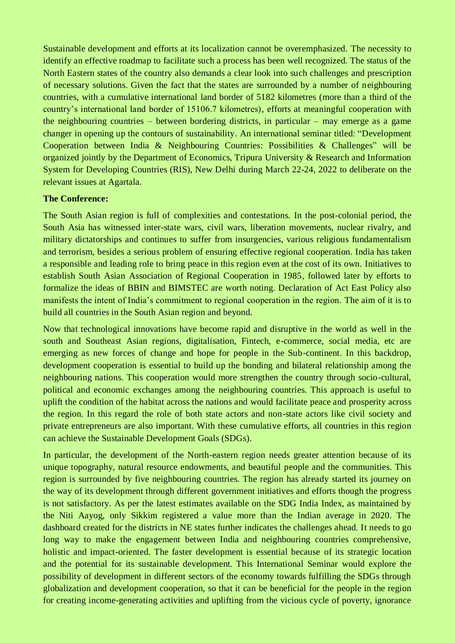Sustainable development and efforts at its localization cannot be overemphasized. The necessity to identify an effective roadmap to facilitate such a process has been well recognized. The status of the North Eastern states of the country also demands a clear look into such challenges and prescription of necessary solutions. Given the fact that the states are surrounded by a number of neighbouring countries, with a cumulative international land border of 5182 kilometres (more than a third of the country's international land border of 15106.7 kilometres), efforts at meaningful cooperation with the neighbouring countries – between bordering districts, in particular – may emerge as a game changer in opening up the contours of sustainability. An international seminar titled: "Development Cooperation between India & Neighbouring Countries: Possibilities & Challenges" will be organized jointly by the Department of Economics, Tripura University & Research and Information System for Developing Countries (RIS), New Delhi during March 22-24, 2022 to deliberate on the relevant issues at Agartala.

#### **The Conference:**

The South Asian region is full of complexities and contestations. In the post-colonial period, the South Asia has witnessed inter-state wars, civil wars, liberation movements, nuclear rivalry, and military dictatorships and continues to suffer from insurgencies, various religious fundamentalism and terrorism, besides a serious problem of ensuring effective regional cooperation. India has taken a responsible and leading role to bring peace in this region even at the cost of its own. Initiatives to establish South Asian Association of Regional Cooperation in 1985, followed later by efforts to formalize the ideas of BBIN and BIMSTEC are worth noting. Declaration of Act East Policy also manifests the intent of India's commitment to regional cooperation in the region. The aim of it is to build all countries in the South Asian region and beyond.

Now that technological innovations have become rapid and disruptive in the world as well in the south and Southeast Asian regions, digitalisation, Fintech, e-commerce, social media, etc are emerging as new forces of change and hope for people in the Sub-continent. In this backdrop, development cooperation is essential to build up the bonding and bilateral relationship among the neighbouring nations. This cooperation would more strengthen the country through socio-cultural, political and economic exchanges among the neighbouring countries. This approach is useful to uplift the condition of the habitat across the nations and would facilitate peace and prosperity across the region. In this regard the role of both state actors and non-state actors like civil society and private entrepreneurs are also important. With these cumulative efforts, all countries in this region can achieve the Sustainable Development Goals (SDGs).

In particular, the development of the North-eastern region needs greater attention because of its unique topography, natural resource endowments, and beautiful people and the communities. This region is surrounded by five neighbouring countries. The region has already started its journey on the way of its development through different government initiatives and efforts though the progress is not satisfactory. As per the latest estimates available on the SDG India Index, as maintained by the Niti Aayog, only Sikkim registered a value more than the Indian average in 2020. The dashboard created for the districts in NE states further indicates the challenges ahead. It needs to go long way to make the engagement between India and neighbouring countries comprehensive, holistic and impact-oriented. The faster development is essential because of its strategic location and the potential for its sustainable development. This International Seminar would explore the possibility of development in different sectors of the economy towards fulfilling the SDGs through globalization and development cooperation, so that it can be beneficial for the people in the region for creating income-generating activities and uplifting from the vicious cycle of poverty, ignorance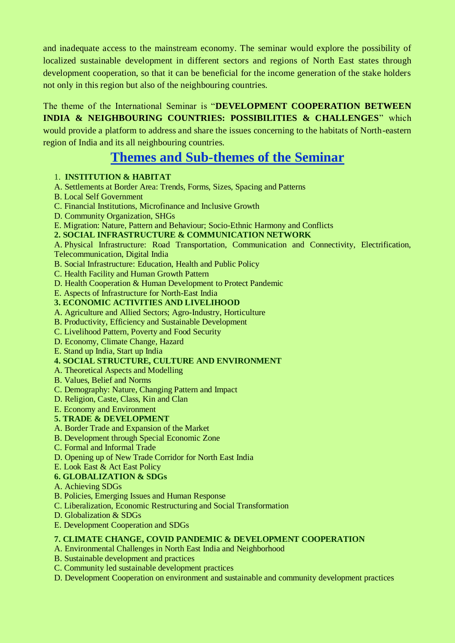and inadequate access to the mainstream economy. The seminar would explore the possibility of localized sustainable development in different sectors and regions of North East states through development cooperation, so that it can be beneficial for the income generation of the stake holders not only in this region but also of the neighbouring countries.

# The theme of the International Seminar is "**DEVELOPMENT COOPERATION BETWEEN INDIA & NEIGHBOURING COUNTRIES: POSSIBILITIES & CHALLENGES**" which would provide a platform to address and share the issues concerning to the habitats of North-eastern

region of India and its all neighbouring countries.

# **Themes and Sub-themes of the Seminar**

## 1. **INSTITUTION & HABITAT**

- A. Settlements at Border Area: Trends, Forms, Sizes, Spacing and Patterns
- B. Local Self Government
- C. Financial Institutions, Microfinance and Inclusive Growth
- D. Community Organization, SHGs
- E. Migration: Nature, Pattern and Behaviour; Socio-Ethnic Harmony and Conflicts

#### **2. SOCIAL INFRASTRUCTURE & COMMUNICATION NETWORK**

A. Physical Infrastructure: Road Transportation, Communication and Connectivity, Electrification, Telecommunication, Digital India

- B. Social Infrastructure: Education, Health and Public Policy
- C. Health Facility and Human Growth Pattern
- D. Health Cooperation & Human Development to Protect Pandemic

#### E. Aspects of Infrastructure for North-East India

#### **3. ECONOMIC ACTIVITIES AND LIVELIHOOD**

- A. Agriculture and Allied Sectors; Agro-Industry, Horticulture
- B. Productivity, Efficiency and Sustainable Development
- C. Livelihood Pattern, Poverty and Food Security
- D. Economy, Climate Change, Hazard
- E. Stand up India, Start up India

#### **4. SOCIAL STRUCTURE, CULTURE AND ENVIRONMENT**

- A. Theoretical Aspects and Modelling
- B. Values, Belief and Norms
- C. Demography: Nature, Changing Pattern and Impact
- D. Religion, Caste, Class, Kin and Clan
- E. Economy and Environment

#### **5. TRADE & DEVELOPMENT**

- A. Border Trade and Expansion of the Market
- B. Development through Special Economic Zone
- C. Formal and Informal Trade
- D. Opening up of New Trade Corridor for North East India
- E. Look East & Act East Policy

#### **6. GLOBALIZATION & SDGs**

- A. Achieving SDGs
- B. Policies, Emerging Issues and Human Response
- C. Liberalization, Economic Restructuring and Social Transformation
- D. Globalization & SDGs
- E. Development Cooperation and SDGs

### **7. CLIMATE CHANGE, COVID PANDEMIC & DEVELOPMENT COOPERATION**

- A. Environmental Challenges in North East India and Neighborhood
- B. Sustainable development and practices
- C. Community led sustainable development practices
- D. Development Cooperation on environment and sustainable and community development practices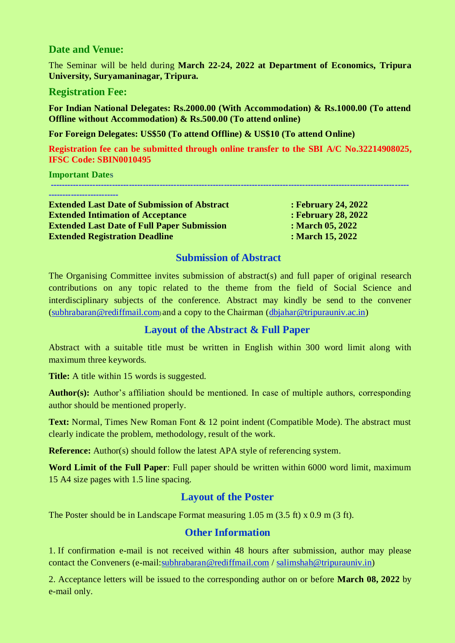### **Date and Venue:**

The Seminar will be held during **March 22-24, 2022 at Department of Economics, Tripura University, Suryamaninagar, Tripura.** 

#### **Registration Fee:**

**For Indian National Delegates: Rs.2000.00 (With Accommodation) & Rs.1000.00 (To attend Offline without Accommodation) & Rs.500.00 (To attend online)**

**For Foreign Delegates: US\$50 (To attend Offline) & US\$10 (To attend Online)**

**Registration fee can be submitted through online transfer to the SBI A/C No.32214908025, IFSC Code: SBIN0010495**

| <b>Important Dates</b>                              |                            |
|-----------------------------------------------------|----------------------------|
|                                                     |                            |
| <b>Extended Last Date of Submission of Abstract</b> | <b>: February 24, 2022</b> |
|                                                     | AO AOAA                    |

**Extended Intimation of Acceptance : February 28, 2022 Extended Last Date of Full Paper Submission : March 05, 2022 Extended Registration Deadline : March 15, 2022**

#### **Submission of Abstract**

The Organising Committee invites submission of abstract(s) and full paper of original research contributions on any topic related to the theme from the field of Social Science and interdisciplinary subjects of the conference. Abstract may kindly be send to the convener [\(subhrabaran@rediffmail.com](mailto:subhrabaran@rediffmail.com)) and a copy to the Chairman [\(dbjahar@tripurauniv.ac.in\)](mailto:dbjahar@tripurauniv.ac.in)

# **Layout of the Abstract & Full Paper**

Abstract with a suitable title must be written in English within 300 word limit along with maximum three keywords.

**Title:** A title within 15 words is suggested.

**Author(s):** Author's affiliation should be mentioned. In case of multiple authors, corresponding author should be mentioned properly.

**Text:** Normal, Times New Roman Font & 12 point indent (Compatible Mode). The abstract must clearly indicate the problem, methodology, result of the work.

**Reference:** Author(s) should follow the latest APA style of referencing system.

**Word Limit of the Full Paper**: Full paper should be written within 6000 word limit, maximum 15 A4 size pages with 1.5 line spacing.

# **Layout of the Poster**

The Poster should be in Landscape Format measuring 1.05 m (3.5 ft) x 0.9 m (3 ft).

### **Other Information**

1. If confirmation e-mail is not received within 48 hours after submission, author may please contact the Conveners (e-mail: subhrabaran@rediffmail.com / [salimshah@tripurauniv.in\)](mailto:salimshah@tripurauniv.in)

2. Acceptance letters will be issued to the corresponding author on or before **March 08, 2022** by e-mail only.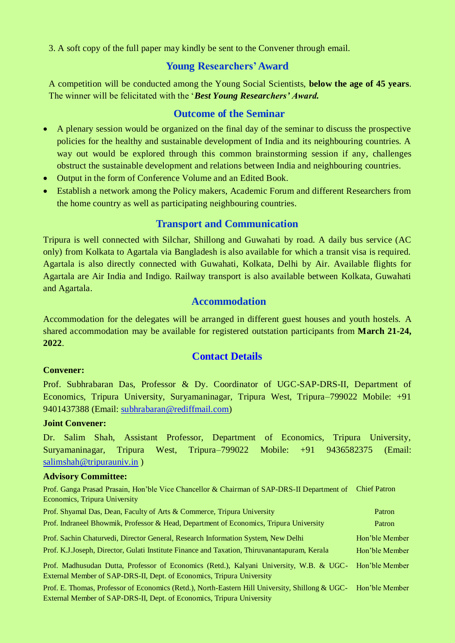3. A soft copy of the full paper may kindly be sent to the Convener through email.

## **Young Researchers'Award**

A competition will be conducted among the Young Social Scientists, **below the age of 45 years**. The winner will be felicitated with the '*Best Young Researchers' Award.*

#### **Outcome of the Seminar**

- A plenary session would be organized on the final day of the seminar to discuss the prospective policies for the healthy and sustainable development of India and its neighbouring countries. A way out would be explored through this common brainstorming session if any, challenges obstruct the sustainable development and relations between India and neighbouring countries.
- Output in the form of Conference Volume and an Edited Book.
- Establish a network among the Policy makers, Academic Forum and different Researchers from the home country as well as participating neighbouring countries.

#### **Transport and Communication**

Tripura is well connected with Silchar, Shillong and Guwahati by road. A daily bus service (AC only) from Kolkata to Agartala via Bangladesh is also available for which a transit visa is required. Agartala is also directly connected with Guwahati, Kolkata, Delhi by Air. Available flights for Agartala are Air India and Indigo. Railway transport is also available between Kolkata, Guwahati and Agartala.

## **Accommodation**

Accommodation for the delegates will be arranged in different guest houses and youth hostels. A shared accommodation may be available for registered outstation participants from **March 21-24, 2022**.

#### **Contact Details**

#### **Convener:**

Prof. Subhrabaran Das, Professor & Dy. Coordinator of UGC-SAP-DRS-II, Department of Economics, Tripura University, Suryamaninagar, Tripura West, Tripura–799022 Mobile: +91 9401437388 (Email: [subhrabaran@rediffmail.com\)](mailto:subhrabaran@rediffmail.com)

#### **Joint Convener:**

Dr. Salim Shah, Assistant Professor, Department of Economics, Tripura University, Suryamaninagar, Tripura West, Tripura–799022 Mobile: +91 9436582375 (Email: [salimshah@tripurauniv.in](mailto:salimshah@tripurauniv.in) )

#### **Advisory Committee:**

Prof. Ganga Prasad Prasain, Hon'ble Vice Chancellor & Chairman of SAP-DRS-II Department of Chief Patron Economics, Tripura University

| Prof. Shyamal Das, Dean, Faculty of Arts & Commerce, Tripura University                                                                                                                 | Patron         |
|-----------------------------------------------------------------------------------------------------------------------------------------------------------------------------------------|----------------|
| Prof. Indraneel Bhowmik, Professor & Head, Department of Economics, Tripura University                                                                                                  | Patron         |
| Prof. Sachin Chaturvedi, Director General, Research Information System, New Delhi                                                                                                       | Hon'ble Member |
| Prof. K.J.Joseph, Director, Gulati Institute Finance and Taxation, Thiruvanantapuram, Kerala                                                                                            | Hon'ble Member |
| Prof. Madhusudan Dutta, Professor of Economics (Retd.), Kalyani University, W.B. & UGC- Hon'ble Member<br>External Member of SAP-DRS-II, Dept. of Economics, Tripura University         |                |
| Prof. E. Thomas, Professor of Economics (Retd.), North-Eastern Hill University, Shillong & UGC- Hon'ble Member<br>External Member of SAP-DRS-II, Dept. of Economics, Tripura University |                |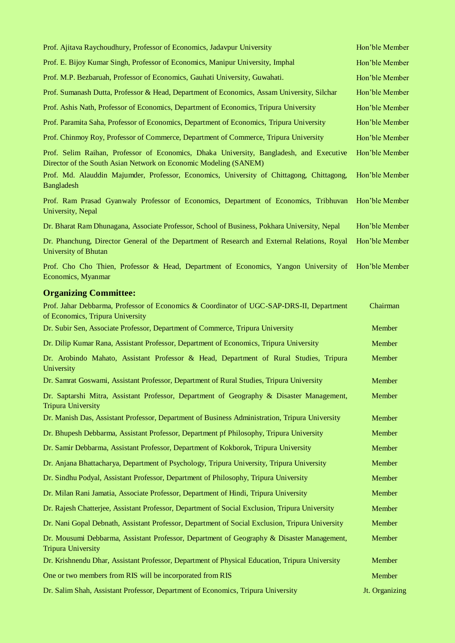| Prof. Ajitava Raychoudhury, Professor of Economics, Jadavpur University                                                                                     | Hon'ble Member |
|-------------------------------------------------------------------------------------------------------------------------------------------------------------|----------------|
| Prof. E. Bijoy Kumar Singh, Professor of Economics, Manipur University, Imphal                                                                              | Hon'ble Member |
| Prof. M.P. Bezbaruah, Professor of Economics, Gauhati University, Guwahati.                                                                                 | Hon'ble Member |
| Prof. Sumanash Dutta, Professor & Head, Department of Economics, Assam University, Silchar                                                                  | Hon'ble Member |
| Prof. Ashis Nath, Professor of Economics, Department of Economics, Tripura University                                                                       | Hon'ble Member |
| Prof. Paramita Saha, Professor of Economics, Department of Economics, Tripura University                                                                    | Hon'ble Member |
| Prof. Chinmoy Roy, Professor of Commerce, Department of Commerce, Tripura University                                                                        | Hon'ble Member |
| Prof. Selim Raihan, Professor of Economics, Dhaka University, Bangladesh, and Executive<br>Director of the South Asian Network on Economic Modeling (SANEM) | Hon'ble Member |
| Prof. Md. Alauddin Majumder, Professor, Economics, University of Chittagong, Chittagong,<br><b>Bangladesh</b>                                               | Hon'ble Member |
| Prof. Ram Prasad Gyanwaly Professor of Economics, Department of Economics, Tribhuvan<br>University, Nepal                                                   | Hon'ble Member |
| Dr. Bharat Ram Dhunagana, Associate Professor, School of Business, Pokhara University, Nepal                                                                | Hon'ble Member |
| Dr. Phanchung, Director General of the Department of Research and External Relations, Royal<br>University of Bhutan                                         | Hon'ble Member |
| Prof. Cho Cho Thien, Professor & Head, Department of Economics, Yangon University of<br>Economics, Myanmar                                                  | Hon'ble Member |
| <b>Organizing Committee:</b>                                                                                                                                |                |
| Prof. Jahar Debbarma, Professor of Economics & Coordinator of UGC-SAP-DRS-II, Department<br>of Economics, Tripura University                                | Chairman       |
| Dr. Subir Sen, Associate Professor, Department of Commerce, Tripura University                                                                              | Member         |
| Dr. Dilip Kumar Rana, Assistant Professor, Department of Economics, Tripura University                                                                      | Member         |
| Dr. Arobindo Mahato, Assistant Professor & Head, Department of Rural Studies, Tripura<br>University                                                         | Member         |
| Dr. Samrat Goswami, Assistant Professor, Department of Rural Studies, Tripura University                                                                    | Member         |
| Dr. Saptarshi Mitra, Assistant Professor, Department of Geography & Disaster Management,<br><b>Tripura University</b>                                       | Member         |
| Dr. Manish Das, Assistant Professor, Department of Business Administration, Tripura University                                                              | Member         |
| Dr. Bhupesh Debbarma, Assistant Professor, Department pf Philosophy, Tripura University                                                                     | Member         |
| Dr. Samir Debbarma, Assistant Professor, Department of Kokborok, Tripura University                                                                         | Member         |
| Dr. Anjana Bhattacharya, Department of Psychology, Tripura University, Tripura University                                                                   | Member         |
| Dr. Sindhu Podyal, Assistant Professor, Department of Philosophy, Tripura University                                                                        | Member         |
| Dr. Milan Rani Jamatia, Associate Professor, Department of Hindi, Tripura University                                                                        | Member         |
| Dr. Rajesh Chatterjee, Assistant Professor, Department of Social Exclusion, Tripura University                                                              | Member         |
| Dr. Nani Gopal Debnath, Assistant Professor, Department of Social Exclusion, Tripura University                                                             | Member         |
| Dr. Mousumi Debbarma, Assistant Professor, Department of Geography & Disaster Management,<br><b>Tripura University</b>                                      | Member         |
| Dr. Krishnendu Dhar, Assistant Professor, Department of Physical Education, Tripura University                                                              | Member         |
| One or two members from RIS will be incorporated from RIS                                                                                                   | Member         |
| Dr. Salim Shah, Assistant Professor, Department of Economics, Tripura University                                                                            | Jt. Organizing |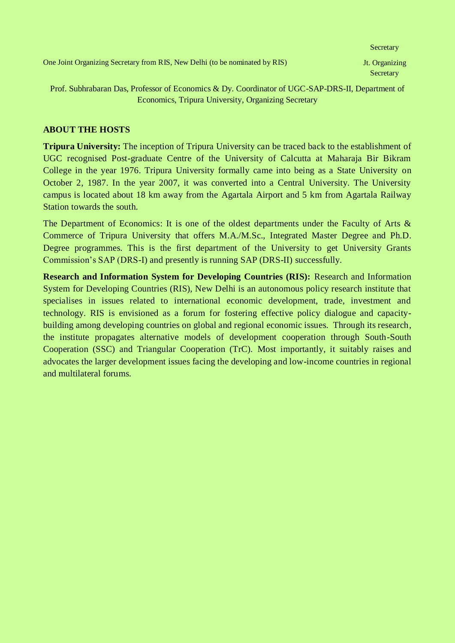Prof. Subhrabaran Das, Professor of Economics & Dy. Coordinator of UGC-SAP-DRS-II, Department of Economics, Tripura University, Organizing Secretary

#### **ABOUT THE HOSTS**

**Tripura University:** The inception of Tripura University can be traced back to the establishment of UGC recognised Post-graduate Centre of the University of Calcutta at Maharaja Bir Bikram College in the year 1976. Tripura University formally came into being as a State University on October 2, 1987. In the year 2007, it was converted into a Central University. The University campus is located about 18 km away from the Agartala Airport and 5 km from Agartala Railway Station towards the south.

The Department of Economics: It is one of the oldest departments under the Faculty of Arts & Commerce of Tripura University that offers M.A./M.Sc., Integrated Master Degree and Ph.D. Degree programmes. This is the first department of the University to get University Grants Commission's SAP (DRS-I) and presently is running SAP (DRS-II) successfully.

**Research and Information System for Developing Countries (RIS):** Research and Information System for Developing Countries (RIS), New Delhi is an autonomous policy research institute that specialises in issues related to international economic development, trade, investment and technology. RIS is envisioned as a forum for fostering effective policy dialogue and capacitybuilding among developing countries on global and regional economic issues. Through its research, the institute propagates alternative models of development cooperation through South-South Cooperation (SSC) and Triangular Cooperation (TrC). Most importantly, it suitably raises and advocates the larger development issues facing the developing and low-income countries in regional and multilateral forums.